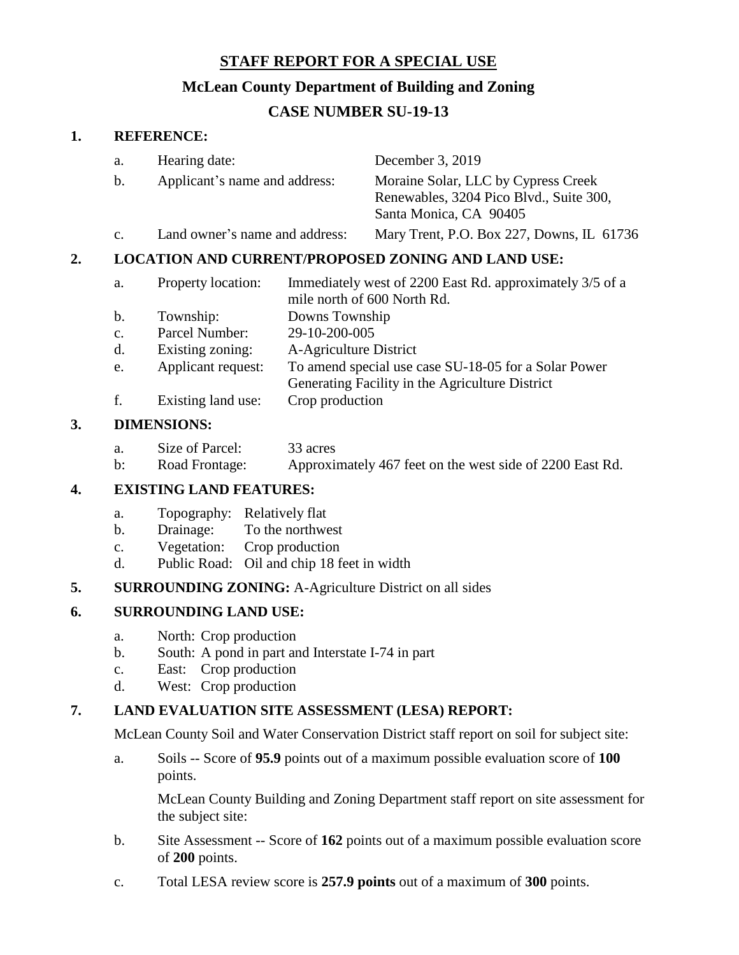# **STAFF REPORT FOR A SPECIAL USE**

# **McLean County Department of Building and Zoning**

# **CASE NUMBER SU-19-13**

#### **1. REFERENCE:**

|    | a.             | Hearing date:<br>Applicant's name and address:            |                                                                                                         | December 3, 2019                                                                                         |  |
|----|----------------|-----------------------------------------------------------|---------------------------------------------------------------------------------------------------------|----------------------------------------------------------------------------------------------------------|--|
|    | b.             |                                                           |                                                                                                         | Moraine Solar, LLC by Cypress Creek<br>Renewables, 3204 Pico Blvd., Suite 300,<br>Santa Monica, CA 90405 |  |
|    | $\mathbf{C}$ . | Land owner's name and address:                            |                                                                                                         | Mary Trent, P.O. Box 227, Downs, IL 61736                                                                |  |
| 2. |                | <b>LOCATION AND CURRENT/PROPOSED ZONING AND LAND USE:</b> |                                                                                                         |                                                                                                          |  |
|    | a.             | Property location:                                        |                                                                                                         | Immediately west of 2200 East Rd. approximately 3/5 of a<br>mile north of 600 North Rd.                  |  |
|    | b.             | Township:                                                 | Downs Township                                                                                          |                                                                                                          |  |
|    | $\mathbf{C}$ . | Parcel Number:                                            | 29-10-200-005<br>A-Agriculture District                                                                 |                                                                                                          |  |
|    | d.             | Existing zoning:                                          |                                                                                                         |                                                                                                          |  |
|    | e.             | Applicant request:                                        | To amend special use case SU-18-05 for a Solar Power<br>Generating Facility in the Agriculture District |                                                                                                          |  |

f. Existing land use: Crop production

#### **3. DIMENSIONS:**

b: Road Frontage: Approximately 467 feet on the west side of 2200 East Rd.

## **4. EXISTING LAND FEATURES:**

- a. Topography: Relatively flat
- b. Drainage: To the northwest
- c. Vegetation: Crop production
- d. Public Road: Oil and chip 18 feet in width

## **5. SURROUNDING ZONING:** A-Agriculture District on all sides

## **6. SURROUNDING LAND USE:**

- a. North: Crop production
- b. South: A pond in part and Interstate I-74 in part
- c. East: Crop production
- d. West: Crop production

## **7. LAND EVALUATION SITE ASSESSMENT (LESA) REPORT:**

McLean County Soil and Water Conservation District staff report on soil for subject site:

a. Soils -- Score of **95.9** points out of a maximum possible evaluation score of **100** points.

McLean County Building and Zoning Department staff report on site assessment for the subject site:

- b. Site Assessment -- Score of **162** points out of a maximum possible evaluation score of **200** points.
- c. Total LESA review score is **257.9 points** out of a maximum of **300** points.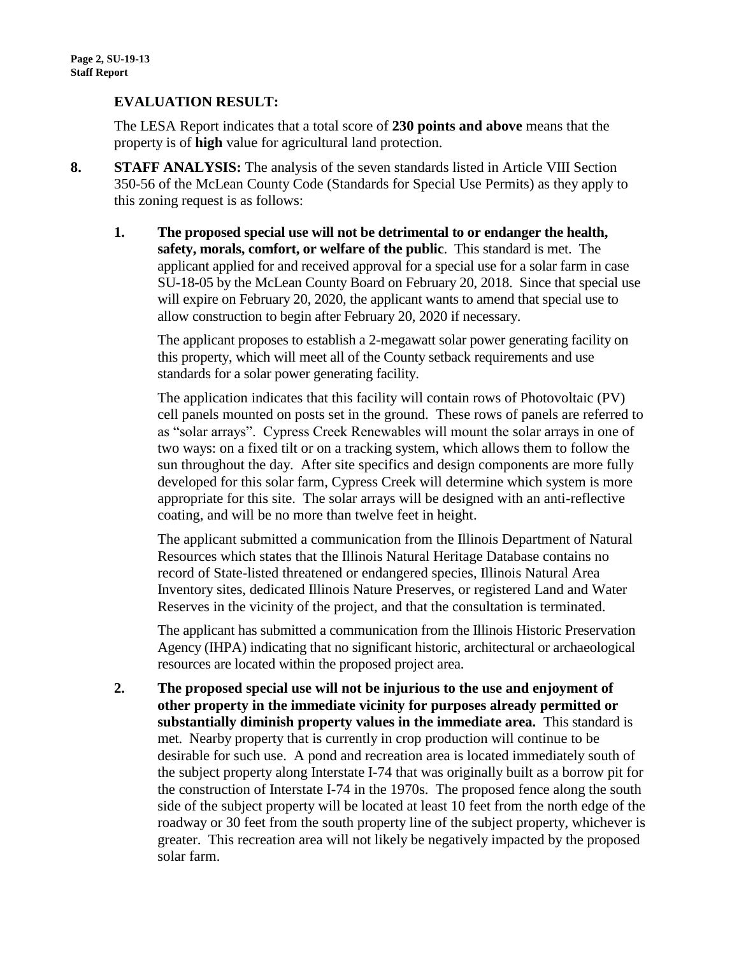#### **EVALUATION RESULT:**

The LESA Report indicates that a total score of **230 points and above** means that the property is of **high** value for agricultural land protection.

- **8. STAFF ANALYSIS:** The analysis of the seven standards listed in Article VIII Section 350-56 of the McLean County Code (Standards for Special Use Permits) as they apply to this zoning request is as follows:
	- **1. The proposed special use will not be detrimental to or endanger the health, safety, morals, comfort, or welfare of the public**. This standard is met. The applicant applied for and received approval for a special use for a solar farm in case SU-18-05 by the McLean County Board on February 20, 2018. Since that special use will expire on February 20, 2020, the applicant wants to amend that special use to allow construction to begin after February 20, 2020 if necessary.

The applicant proposes to establish a 2-megawatt solar power generating facility on this property, which will meet all of the County setback requirements and use standards for a solar power generating facility.

The application indicates that this facility will contain rows of Photovoltaic (PV) cell panels mounted on posts set in the ground. These rows of panels are referred to as "solar arrays". Cypress Creek Renewables will mount the solar arrays in one of two ways: on a fixed tilt or on a tracking system, which allows them to follow the sun throughout the day. After site specifics and design components are more fully developed for this solar farm, Cypress Creek will determine which system is more appropriate for this site. The solar arrays will be designed with an anti-reflective coating, and will be no more than twelve feet in height.

The applicant submitted a communication from the Illinois Department of Natural Resources which states that the Illinois Natural Heritage Database contains no record of State-listed threatened or endangered species, Illinois Natural Area Inventory sites, dedicated Illinois Nature Preserves, or registered Land and Water Reserves in the vicinity of the project, and that the consultation is terminated.

The applicant has submitted a communication from the Illinois Historic Preservation Agency (IHPA) indicating that no significant historic, architectural or archaeological resources are located within the proposed project area.

**2. The proposed special use will not be injurious to the use and enjoyment of other property in the immediate vicinity for purposes already permitted or substantially diminish property values in the immediate area.** This standard is met. Nearby property that is currently in crop production will continue to be desirable for such use. A pond and recreation area is located immediately south of the subject property along Interstate I-74 that was originally built as a borrow pit for the construction of Interstate I-74 in the 1970s. The proposed fence along the south side of the subject property will be located at least 10 feet from the north edge of the roadway or 30 feet from the south property line of the subject property, whichever is greater. This recreation area will not likely be negatively impacted by the proposed solar farm.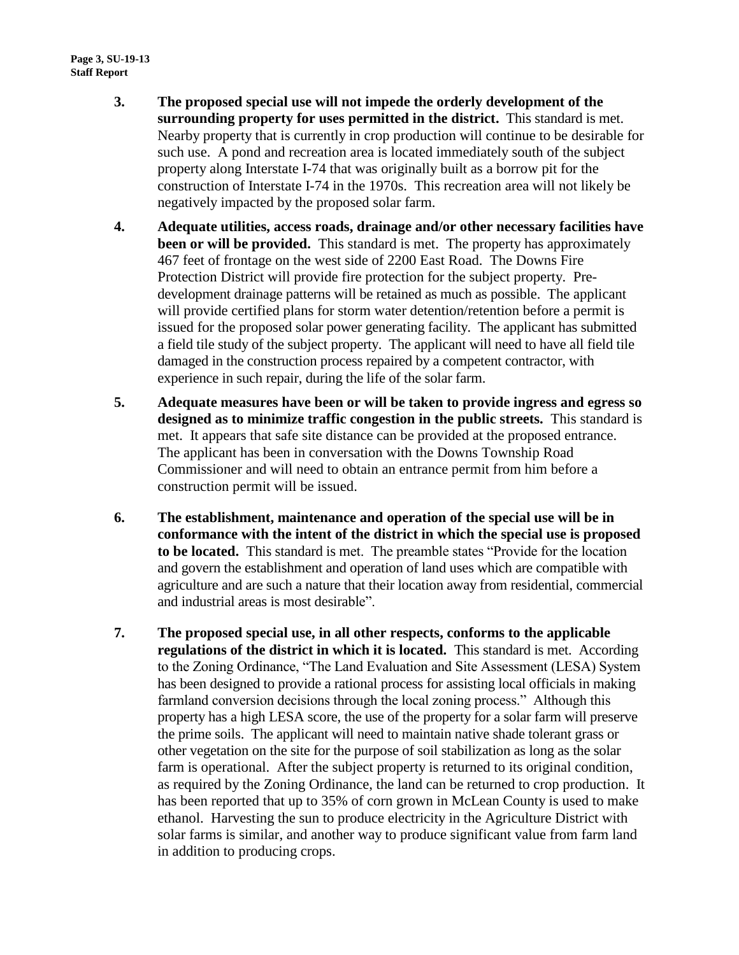- **3. The proposed special use will not impede the orderly development of the surrounding property for uses permitted in the district.** This standard is met. Nearby property that is currently in crop production will continue to be desirable for such use. A pond and recreation area is located immediately south of the subject property along Interstate I-74 that was originally built as a borrow pit for the construction of Interstate I-74 in the 1970s. This recreation area will not likely be negatively impacted by the proposed solar farm.
- **4. Adequate utilities, access roads, drainage and/or other necessary facilities have been or will be provided.** This standard is met. The property has approximately 467 feet of frontage on the west side of 2200 East Road. The Downs Fire Protection District will provide fire protection for the subject property. Predevelopment drainage patterns will be retained as much as possible. The applicant will provide certified plans for storm water detention/retention before a permit is issued for the proposed solar power generating facility. The applicant has submitted a field tile study of the subject property. The applicant will need to have all field tile damaged in the construction process repaired by a competent contractor, with experience in such repair, during the life of the solar farm.
- **5. Adequate measures have been or will be taken to provide ingress and egress so designed as to minimize traffic congestion in the public streets.** This standard is met. It appears that safe site distance can be provided at the proposed entrance. The applicant has been in conversation with the Downs Township Road Commissioner and will need to obtain an entrance permit from him before a construction permit will be issued.
- **6. The establishment, maintenance and operation of the special use will be in conformance with the intent of the district in which the special use is proposed to be located.** This standard is met. The preamble states "Provide for the location and govern the establishment and operation of land uses which are compatible with agriculture and are such a nature that their location away from residential, commercial and industrial areas is most desirable".
- **7. The proposed special use, in all other respects, conforms to the applicable regulations of the district in which it is located.** This standard is met. According to the Zoning Ordinance, "The Land Evaluation and Site Assessment (LESA) System has been designed to provide a rational process for assisting local officials in making farmland conversion decisions through the local zoning process." Although this property has a high LESA score, the use of the property for a solar farm will preserve the prime soils. The applicant will need to maintain native shade tolerant grass or other vegetation on the site for the purpose of soil stabilization as long as the solar farm is operational. After the subject property is returned to its original condition, as required by the Zoning Ordinance, the land can be returned to crop production. It has been reported that up to 35% of corn grown in McLean County is used to make ethanol. Harvesting the sun to produce electricity in the Agriculture District with solar farms is similar, and another way to produce significant value from farm land in addition to producing crops.